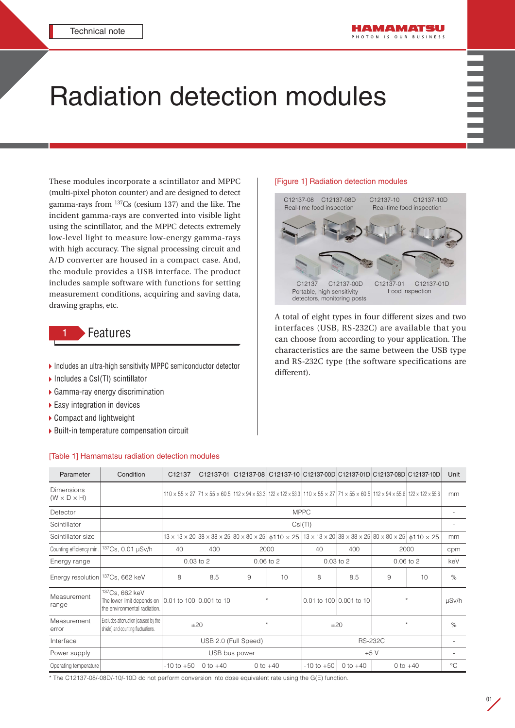# Radiation detection modules

These modules incorporate a scintillator and MPPC (multi-pixel photon counter) and are designed to detect gamma-rays from 137Cs (cesium 137) and the like. The incident gamma-rays are converted into visible light using the scintillator, and the MPPC detects extremely low-level light to measure low-energy gamma-rays with high accuracy. The signal processing circuit and A/D converter are housed in a compact case. And, the module provides a USB interface. The product includes sample software with functions for setting measurement conditions, acquiring and saving data, drawing graphs, etc.

# **Features**

- ▶ Includes an ultra-high sensitivity MPPC semiconductor detector
- ▶ Includes a CsI(TI) scintillator
- Gamma-ray energy discrimination
- ▶ Easy integration in devices
- Compact and lightweight
- ▶ Built-in temperature compensation circuit

### [Table 1] Hamamatsu radiation detection modules

#### [Figure 1] Radiation detection modules



A total of eight types in four different sizes and two interfaces (USB, RS-232C) are available that you can choose from according to your application. The characteristics are the same between the USB type and RS-232C type (the software specifications are different).

| Parameter                                    | Condition                                                                                | C12137                         | C12137-01  | C12137-08 C12137-10 C12137-00D C12137-01D C12137-08D C12137-10D                                                                                                                                                             |       |                |                         |                                                                                              |                 | Unit         |
|----------------------------------------------|------------------------------------------------------------------------------------------|--------------------------------|------------|-----------------------------------------------------------------------------------------------------------------------------------------------------------------------------------------------------------------------------|-------|----------------|-------------------------|----------------------------------------------------------------------------------------------|-----------------|--------------|
| <b>Dimensions</b><br>$(W \times D \times H)$ |                                                                                          |                                |            | $110 \times 55 \times 27$ 71 $\times 55 \times 60.5$ 112 $\times 94 \times 53.3$ 122 $\times 122 \times 53.3$ 110 $\times 55 \times 27$ 71 $\times 55 \times 60.5$ 112 $\times 94 \times 55.6$ 122 $\times 122 \times 55.6$ |       |                |                         |                                                                                              |                 | mm           |
| Detector                                     |                                                                                          |                                |            |                                                                                                                                                                                                                             |       | <b>MPPC</b>    |                         |                                                                                              |                 |              |
| Scintillator                                 |                                                                                          | Csl(TI)                        |            |                                                                                                                                                                                                                             |       |                |                         |                                                                                              |                 |              |
| Scintillator size                            |                                                                                          |                                |            | $13 \times 13 \times 20$ 38 $\times 38 \times 25$ 80 $\times 80 \times 25$ $\phi$ 110 $\times 25$                                                                                                                           |       |                |                         | $13 \times 13 \times 20$ 38 $\times 38 \times 25$ 80 $\times 80 \times 25$ \$110 $\times 25$ |                 | mm           |
| Counting efficiency min.                     | <sup>137</sup> Cs, 0.01 µSv/h                                                            | 40                             | 400        | 2000                                                                                                                                                                                                                        |       | 40             | 400                     |                                                                                              | 2000            | cpm          |
| Energy range                                 |                                                                                          | $0.03$ to $2$<br>$0.06$ to $2$ |            | $0.03$ to $2$                                                                                                                                                                                                               |       | $0.06$ to $2$  |                         | keV                                                                                          |                 |              |
| Energy resolution 137Cs, 662 keV             |                                                                                          | 8                              | 8.5        | 9                                                                                                                                                                                                                           | 10    | 8              | 8.5                     | 9                                                                                            | 10 <sup>1</sup> | $\%$         |
| Measurement<br>range                         | <sup>137</sup> Cs, 662 keV<br>The lower limit depends on<br>the environmental radiation. | 0.01 to 100 0.001 to 10        |            | $\star$                                                                                                                                                                                                                     |       |                | 0.01 to 100 0.001 to 10 | $\star$                                                                                      |                 | µSv/h        |
| Measurement<br>error                         | Excludes attenuation (caused by the<br>shield) and counting fluctuations.                | ±20                            |            | $\star$                                                                                                                                                                                                                     |       | ±20            |                         | $\star$                                                                                      |                 | $\%$         |
| Interface                                    |                                                                                          | USB 2.0 (Full Speed)           |            |                                                                                                                                                                                                                             |       | <b>RS-232C</b> |                         |                                                                                              |                 |              |
| Power supply                                 |                                                                                          | USB bus power                  |            |                                                                                                                                                                                                                             | $+5V$ |                |                         |                                                                                              |                 |              |
| Operating temperature                        |                                                                                          | $-10$ to $+50$                 | 0 to $+40$ | 0 to $+40$                                                                                                                                                                                                                  |       | $-10$ to $+50$ | 0 to $+40$              |                                                                                              | $0$ to $+40$    | $^{\circ}$ C |

\* The C12137-08/-08D/-10/-10D do not perform conversion into dose equivalent rate using the G(E) function.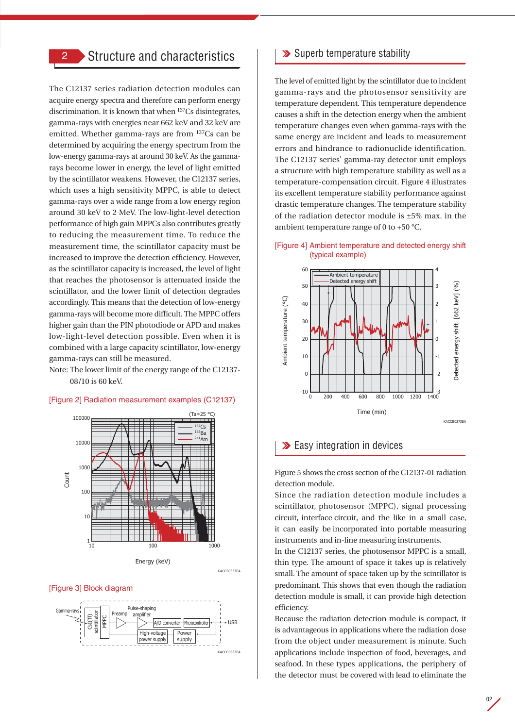## 2 Structure and characteristics

The C12137 series radiation detection modules can acquire energy spectra and therefore can perform energy discrimination. It is known that when 137Cs disintegrates, gamma-rays with energies near 662 keV and 32 keV are emitted. Whether gamma-rays are from 137Cs can be determined by acquiring the energy spectrum from the low-energy gamma-rays at around 30 keV. As the gammarays become lower in energy, the level of light emitted by the scintillator weakens. However, the C12137 series, which uses a high sensitivity MPPC, is able to detect gamma-rays over a wide range from a low energy region around 30 keV to 2 MeV. The low-light-level detection performance of high gain MPPCs also contributes greatly to reducing the measurement time. To reduce the measurement time, the scintillator capacity must be increased to improve the detection efficiency. However, as the scintillator capacity is increased, the level of light that reaches the photosensor is attenuated inside the scintillator, and the lower limit of detection degrades accordingly. This means that the detection of low-energy gamma-rays will become more difficult. The MPPC offers higher gain than the PIN photodiode or APD and makes low-light-level detection possible. Even when it is combined with a large capacity scintillator, low-energy gamma-rays can still be measured.

Note: The lower limit of the energy range of the C12137- 08/10 is 60 keV.



#### [Figure 2] Radiation measurement examples (C12137)

KACCB0337EA

#### [Figure 3] Block diagram



## **>>** Superb temperature stability

The level of emitted light by the scintillator due to incident gamma-rays and the photosensor sensitivity are temperature dependent. This temperature dependence causes a shift in the detection energy when the ambient temperature changes even when gamma-rays with the same energy are incident and leads to measurement errors and hindrance to radionuclide identification. The C12137 series' gamma-ray detector unit employs a structure with high temperature stability as well as a temperature-compensation circuit. Figure 4 illustrates its excellent temperature stability performance against drastic temperature changes. The temperature stability of the radiation detector module is ±5% max. in the ambient temperature range of 0 to +50 °C.

#### [Figure 4] Ambient temperature and detected energy shift (typical example)



## **Easy integration in devices**

Figure 5 shows the cross section of the C12137-01 radiation detection module.

Since the radiation detection module includes a scintillator, photosensor (MPPC), signal processing circuit, interface circuit, and the like in a small case, it can easily be incorporated into portable measuring instruments and in-line measuring instruments.

In the C12137 series, the photosensor MPPC is a small, thin type. The amount of space it takes up is relatively small. The amount of space taken up by the scintillator is predominant. This shows that even though the radiation detection module is small, it can provide high detection efficiency.

Because the radiation detection module is compact, it is advantageous in applications where the radiation dose from the object under measurement is minute. Such applications include inspection of food, beverages, and seafood. In these types applications, the periphery of the detector must be covered with lead to eliminate the